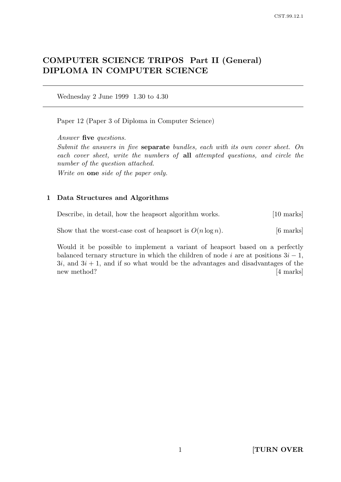# COMPUTER SCIENCE TRIPOS Part II (General) DIPLOMA IN COMPUTER SCIENCE

Wednesday 2 June 1999 1.30 to 4.30

Paper 12 (Paper 3 of Diploma in Computer Science)

Answer five questions.

Submit the answers in five separate bundles, each with its own cover sheet. On each cover sheet, write the numbers of all attempted questions, and circle the number of the question attached.

Write on one side of the paper only.

## 1 Data Structures and Algorithms

Describe, in detail, how the heapsort algorithm works. [10 marks]

Show that the worst-case cost of heapsort is  $O(n \log n)$ . [6 marks]

Would it be possible to implement a variant of heapsort based on a perfectly balanced ternary structure in which the children of node i are at positions  $3i - 1$ ,  $3i$ , and  $3i + 1$ , and if so what would be the advantages and disadvantages of the new method? [4 marks]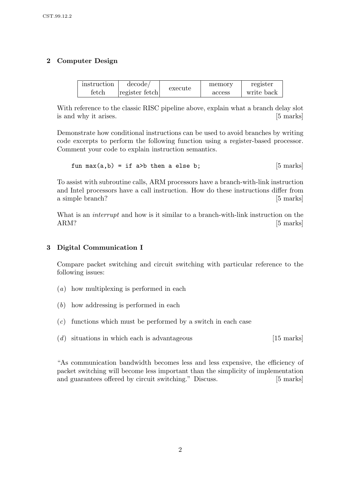# 2 Computer Design

| instruction    | decode/        | execute | memory | register   |
|----------------|----------------|---------|--------|------------|
| $_{\rm fetch}$ | register fetch |         | access | write back |

With reference to the classic RISC pipeline above, explain what a branch delay slot is and why it arises. [5 marks]

Demonstrate how conditional instructions can be used to avoid branches by writing code excerpts to perform the following function using a register-based processor. Comment your code to explain instruction semantics.

fun max(a,b) = if a>b then a else b; [5 marks]

To assist with subroutine calls, ARM processors have a branch-with-link instruction and Intel processors have a call instruction. How do these instructions differ from a simple branch? [5 marks]

What is an *interrupt* and how is it similar to a branch-with-link instruction on the ARM? [5 marks]

# 3 Digital Communication I

Compare packet switching and circuit switching with particular reference to the following issues:

- (a) how multiplexing is performed in each
- (b) how addressing is performed in each
- $(c)$  functions which must be performed by a switch in each case
- $(d)$  situations in which each is advantageous [15 marks]

"As communication bandwidth becomes less and less expensive, the efficiency of packet switching will become less important than the simplicity of implementation and guarantees offered by circuit switching." Discuss. [5 marks]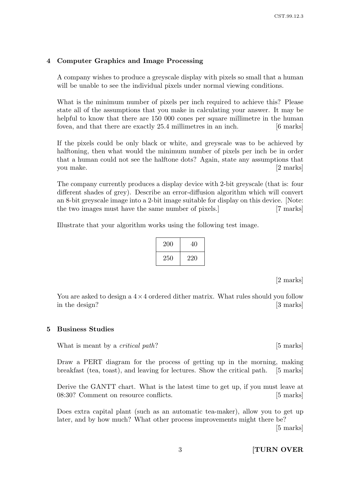#### 4 Computer Graphics and Image Processing

A company wishes to produce a greyscale display with pixels so small that a human will be unable to see the individual pixels under normal viewing conditions.

What is the minimum number of pixels per inch required to achieve this? Please state all of the assumptions that you make in calculating your answer. It may be helpful to know that there are 150 000 cones per square millimetre in the human fovea, and that there are exactly 25.4 millimetres in an inch. [6 marks]

If the pixels could be only black or white, and greyscale was to be achieved by halftoning, then what would the minimum number of pixels per inch be in order that a human could not see the halftone dots? Again, state any assumptions that you make. [2 marks]

The company currently produces a display device with 2-bit greyscale (that is: four different shades of grey). Describe an error-diffusion algorithm which will convert an 8-bit greyscale image into a 2-bit image suitable for display on this device. [Note: the two images must have the same number of pixels.] [7 marks]

Illustrate that your algorithm works using the following test image.

| 200 | 40  |
|-----|-----|
| 250 | 220 |

[2 marks]

You are asked to design a  $4 \times 4$  ordered dither matrix. What rules should you follow in the design? [3 marks]

#### 5 Business Studies

What is meant by a *critical path*? [5 marks]

Draw a PERT diagram for the process of getting up in the morning, making breakfast (tea, toast), and leaving for lectures. Show the critical path. [5 marks]

Derive the GANTT chart. What is the latest time to get up, if you must leave at 08:30? Comment on resource conflicts. [5 marks]

Does extra capital plant (such as an automatic tea-maker), allow you to get up later, and by how much? What other process improvements might there be?

[5 marks]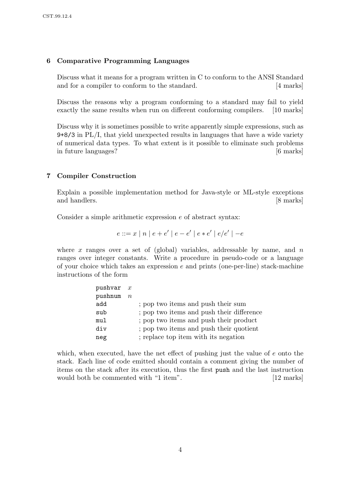## 6 Comparative Programming Languages

Discuss what it means for a program written in C to conform to the ANSI Standard and for a compiler to conform to the standard. [4 marks]

Discuss the reasons why a program conforming to a standard may fail to yield exactly the same results when run on different conforming compilers. [10 marks]

Discuss why it is sometimes possible to write apparently simple expressions, such as 9+8/3 in PL/I, that yield unexpected results in languages that have a wide variety of numerical data types. To what extent is it possible to eliminate such problems in future languages? [6 marks]

## 7 Compiler Construction

Explain a possible implementation method for Java-style or ML-style exceptions and handlers. [8 marks]

Consider a simple arithmetic expression e of abstract syntax:

$$
e ::= x | n | e + e' | e - e' | e * e' | e / e' | -e
$$

where x ranges over a set of (global) variables, addressable by name, and n ranges over integer constants. Write a procedure in pseudo-code or a language of your choice which takes an expression  $e$  and prints (one-per-line) stack-machine instructions of the form

| pushvar x |           |                                           |
|-----------|-----------|-------------------------------------------|
| pushnum   | $n_{\rm}$ |                                           |
| add       |           | ; pop two items and push their sum        |
| sub       |           | ; pop two items and push their difference |
| mul       |           | ; pop two items and push their product    |
| div       |           | ; pop two items and push their quotient   |
| neg       |           | ; replace top item with its negation      |

which, when executed, have the net effect of pushing just the value of e onto the stack. Each line of code emitted should contain a comment giving the number of items on the stack after its execution, thus the first push and the last instruction would both be commented with "1 item". [12 marks]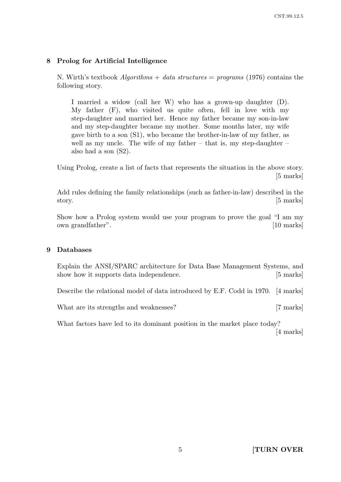#### 8 Prolog for Artificial Intelligence

N. Wirth's textbook *Algorithms* + data structures = programs (1976) contains the following story.

I married a widow (call her W) who has a grown-up daughter (D). My father (F), who visited us quite often, fell in love with my step-daughter and married her. Hence my father became my son-in-law and my step-daughter became my mother. Some months later, my wife gave birth to a son (S1), who became the brother-in-law of my father, as well as my uncle. The wife of my father  $-$  that is, my step-daughter  $$ also had a son (S2).

Using Prolog, create a list of facts that represents the situation in the above story. [5 marks]

Add rules defining the family relationships (such as father-in-law) described in the story. [5 marks]

Show how a Prolog system would use your program to prove the goal "I am my own grandfather". [10 marks]

#### 9 Databases

Explain the ANSI/SPARC architecture for Data Base Management Systems, and show how it supports data independence. [5 marks]

Describe the relational model of data introduced by E.F. Codd in 1970. [4 marks]

What are its strengths and weaknesses? [7 marks]

What factors have led to its dominant position in the market place today? [4 marks]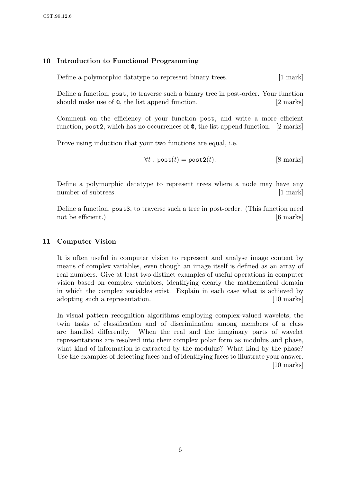# 10 Introduction to Functional Programming

Define a polymorphic datatype to represent binary trees. [1 mark]

Define a function, post, to traverse such a binary tree in post-order. Your function should make use of  $\mathcal{Q}$ , the list append function. [2 marks]

Comment on the efficiency of your function post, and write a more efficient function, post2, which has no occurrences of @, the list append function. [2 marks]

Prove using induction that your two functions are equal, i.e.

$$
\forall t \text{ . post}(t) = \text{post2}(t). \qquad [8 \text{ marks}]
$$

Define a polymorphic datatype to represent trees where a node may have any number of subtrees. [1 mark]

Define a function, post3, to traverse such a tree in post-order. (This function need not be efficient.) [6 marks]

#### 11 Computer Vision

It is often useful in computer vision to represent and analyse image content by means of complex variables, even though an image itself is defined as an array of real numbers. Give at least two distinct examples of useful operations in computer vision based on complex variables, identifying clearly the mathematical domain in which the complex variables exist. Explain in each case what is achieved by adopting such a representation. [10 marks]

In visual pattern recognition algorithms employing complex-valued wavelets, the twin tasks of classification and of discrimination among members of a class are handled differently. When the real and the imaginary parts of wavelet representations are resolved into their complex polar form as modulus and phase, what kind of information is extracted by the modulus? What kind by the phase? Use the examples of detecting faces and of identifying faces to illustrate your answer. [10 marks]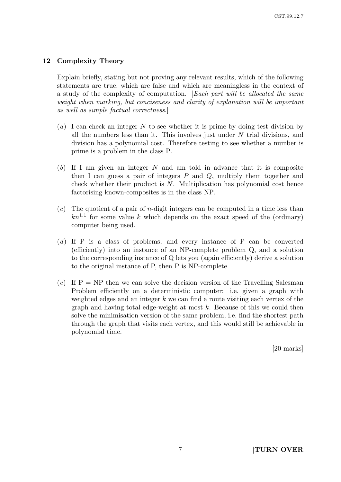## 12 Complexity Theory

Explain briefly, stating but not proving any relevant results, which of the following statements are true, which are false and which are meaningless in the context of a study of the complexity of computation. [Each part will be allocated the same weight when marking, but conciseness and clarity of explanation will be important as well as simple factual correctness.]

- (a) I can check an integer N to see whether it is prime by doing test division by all the numbers less than it. This involves just under  $N$  trial divisions, and division has a polynomial cost. Therefore testing to see whether a number is prime is a problem in the class P.
- $(b)$  If I am given an integer N and am told in advance that it is composite then I can guess a pair of integers  $P$  and  $Q$ , multiply them together and check whether their product is  $N$ . Multiplication has polynomial cost hence factorising known-composites is in the class NP.
- $(c)$  The quotient of a pair of *n*-digit integers can be computed in a time less than  $kn^{1.1}$  for some value k which depends on the exact speed of the (ordinary) computer being used.
- (d) If P is a class of problems, and every instance of P can be converted (efficiently) into an instance of an NP-complete problem Q, and a solution to the corresponding instance of Q lets you (again efficiently) derive a solution to the original instance of P, then P is NP-complete.
- (e) If  $P = NP$  then we can solve the decision version of the Travelling Salesman Problem efficiently on a deterministic computer: i.e. given a graph with weighted edges and an integer  $k$  we can find a route visiting each vertex of the graph and having total edge-weight at most  $k$ . Because of this we could then solve the minimisation version of the same problem, i.e. find the shortest path through the graph that visits each vertex, and this would still be achievable in polynomial time.

[20 marks]